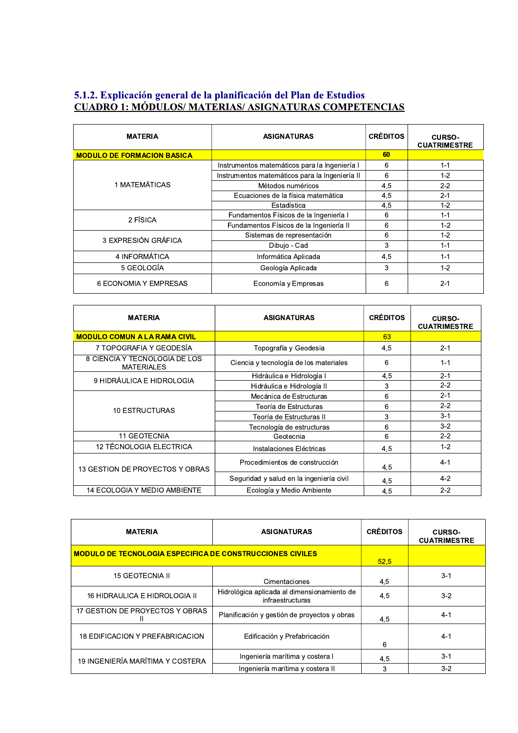## 5.1.2. Explicación general de la planificación del Plan de Estudios<br>CUADRO 1: MÓDULOS/MATERIAS/ASIGNATURAS COMPETENCIAS

| <b>MATERIA</b>                    | <b>ASIGNATURAS</b>                             | <b>CRÉDITOS</b> | <b>CURSO-</b><br><b>CUATRIMESTRE</b> |
|-----------------------------------|------------------------------------------------|-----------------|--------------------------------------|
| <b>MODULO DE FORMACION BASICA</b> |                                                | 60              |                                      |
| 1 MATEMÁTICAS                     | Instrumentos matemáticos para la Ingeniería I  | 6               | $1 - 1$                              |
|                                   | Instrumentos matemáticos para la Ingeniería II | 6               | $1 - 2$                              |
|                                   | Métodos numéricos                              | 4,5             | $2 - 2$                              |
|                                   | Ecuaciones de la física matemática             | 4,5             | $2 - 1$                              |
|                                   | Estadística                                    | 4.5             | $1 - 2$                              |
| 2 FÍSICA                          | Fundamentos Físicos de la Ingeniería I         | 6               | $1 - 1$                              |
|                                   | Fundamentos Físicos de la Ingeniería II        | 6               | $1 - 2$                              |
| 3 EXPRESIÓN GRÁFICA               | Sistemas de representación                     | 6               | $1 - 2$                              |
|                                   | Dibujo - Cad                                   | 3               | $1 - 1$                              |
| 4 INFORMÁTICA                     | Informática Aplicada                           | 4,5             | $1 - 1$                              |
| 5 GEOLOGÍA                        | Geología Aplicada                              | 3               | $1 - 2$                              |
| 6 ECONOMIA Y EMPRESAS             | Economía y Empresas                            | 6               | $2 - 1$                              |

| <b>MATERIA</b>                                     | <b>ASIGNATURAS</b>                       | <b>CRÉDITOS</b> | <b>CURSO-</b><br><b>CUATRIMESTRE</b> |
|----------------------------------------------------|------------------------------------------|-----------------|--------------------------------------|
| <b>MODULO COMUN A LA RAMA CIVIL</b>                |                                          | 63              |                                      |
| 7 TOPOGRAFIA Y GEODESÍA                            | Topografía y Geodesia                    | 4,5             | $2 - 1$                              |
| 8 CIENCIA Y TECNOLOGIA DE LOS<br><b>MATERIALES</b> | Ciencia y tecnología de los materiales   | 6               | $1 - 1$                              |
| 9 HIDRÁULICA E HIDROLOGIA                          | Hidráulica e Hidrología I                | 4,5             | $2 - 1$                              |
|                                                    | Hidráulica e Hidrología II               | 3               | $2 - 2$                              |
| <b>10 ESTRUCTURAS</b>                              | Mecánica de Estructuras                  | 6               | $2 - 1$                              |
|                                                    | Teoría de Estructuras                    | 6               | $2 - 2$                              |
|                                                    | Teoría de Estructuras II                 | 3               | $3 - 1$                              |
|                                                    | Tecnología de estructuras                | 6               | $3 - 2$                              |
| 11 GEOTECNIA                                       | Geotecnia                                | 6               | $2 - 2$                              |
| 12 TÉCNOLOGIA ELECTRICA                            | Instalaciones Eléctricas                 | 4,5             | $1 - 2$                              |
| 13 GESTION DE PROYECTOS Y OBRAS                    | Procedimientos de construcción           | 4.5             | $4 - 1$                              |
|                                                    | Seguridad y salud en la ingeniería civil | 4,5             | $4 - 2$                              |
| <b>14 ECOLOGIA Y MEDIO AMBIENTE</b>                | Ecología y Medio Ambiente                | 4,5             | $2 - 2$                              |

| <b>MATERIA</b>                                                   | <b>ASIGNATURAS</b>                                              | <b>CRÉDITOS</b> | <b>CURSO-</b><br><b>CUATRIMESTRE</b> |
|------------------------------------------------------------------|-----------------------------------------------------------------|-----------------|--------------------------------------|
| <b>MODULO DE TECNOLOGIA ESPECIFICA DE CONSTRUCCIONES CIVILES</b> |                                                                 | 52,5            |                                      |
| 15 GEOTECNIA II                                                  | Cimentaciones                                                   | 4,5             | $3 - 1$                              |
| 16 HIDRAULICA E HIDROLOGIA II                                    | Hidrológica aplicada al dimensionamiento de<br>infraestructuras | 4,5             | $3-2$                                |
| 17 GESTION DE PROYECTOS Y OBRAS                                  | Planificación y gestión de proyectos y obras                    | 4.5             | $4 - 1$                              |
| 18 EDIFICACION Y PREFABRICACION                                  | Edificación y Prefabricación                                    | 6               | $4 - 1$                              |
| 19 INGENIERÍA MARÍTIMA Y COSTERA                                 | Ingeniería marítima y costera I                                 | 4,5             | $3 - 1$                              |
|                                                                  | Ingeniería marítima y costera II                                | 3               | $3 - 2$                              |